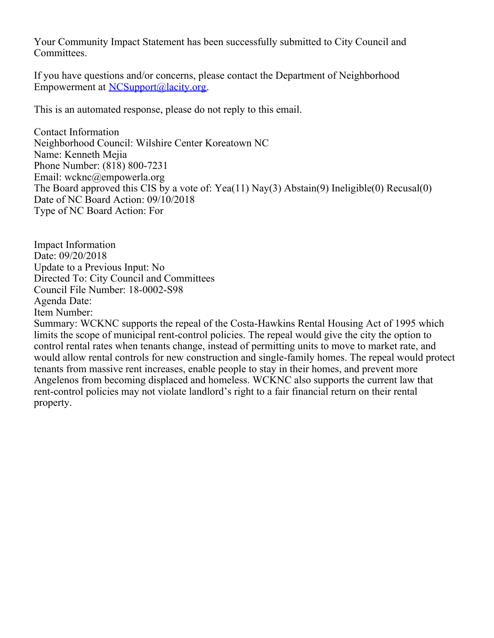Your Community Impact Statement has been successfully submitted to City Council and Committees.

If you have questions and/or concerns, please contact the Department of Neighborhood Empowerment at [NCSupport@lacity.org](mailto:NCSupport@lacity.org).

This is an automated response, please do not reply to this email.

Contact Information Neighborhood Council: Wilshire Center Koreatown NC Name: Kenneth Mejia Phone Number: (818) 800-7231 Email: wcknc@empowerla.org The Board approved this CIS by a vote of: Yea(11) Nay(3) Abstain(9) Ineligible(0) Recusal(0) Date of NC Board Action: 09/10/2018 Type of NC Board Action: For

Impact Information Date: 09/20/2018 Update to a Previous Input: No Directed To: City Council and Committees Council File Number: 18-0002-S98 Agenda Date: Item Number:

Summary: WCKNC supports the repeal of the Costa-Hawkins Rental Housing Act of 1995 which limits the scope of municipal rent-control policies. The repeal would give the city the option to control rental rates when tenants change, instead of permitting units to move to market rate, and would allow rental controls for new construction and single-family homes. The repeal would protect tenants from massive rent increases, enable people to stay in their homes, and prevent more Angelenos from becoming displaced and homeless. WCKNC also supports the current law that rent-control policies may not violate landlord's right to a fair financial return on their rental property.